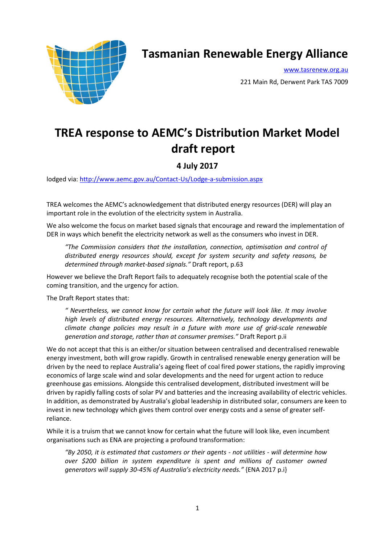

## **Tasmanian Renewable Energy Alliance**

[www.tasrenew.org.au](http://www.tasrenew.org.au/)

221 Main Rd, Derwent Park TAS 7009

## **TREA response to AEMC's Distribution Market Model draft report**

## **4 July 2017**

lodged via:<http://www.aemc.gov.au/Contact-Us/Lodge-a-submission.aspx>

TREA welcomes the AEMC's acknowledgement that distributed energy resources (DER) will play an important role in the evolution of the electricity system in Australia.

We also welcome the focus on market based signals that encourage and reward the implementation of DER in ways which benefit the electricity network as well as the consumers who invest in DER.

*"The Commission considers that the installation, connection, optimisation and control of distributed energy resources should, except for system security and safety reasons, be determined through market-based signals."* Draft report, p.63

However we believe the Draft Report fails to adequately recognise both the potential scale of the coming transition, and the urgency for action.

The Draft Report states that:

*" Nevertheless, we cannot know for certain what the future will look like. It may involve high levels of distributed energy resources. Alternatively, technology developments and climate change policies may result in a future with more use of grid-scale renewable generation and storage, rather than at consumer premises."* Draft Report p.ii

We do not accept that this is an either/or situation between centralised and decentralised renewable energy investment, both will grow rapidly. Growth in centralised renewable energy generation will be driven by the need to replace Australia's ageing fleet of coal fired power stations, the rapidly improving economics of large scale wind and solar developments and the need for urgent action to reduce greenhouse gas emissions. Alongside this centralised development, distributed investment will be driven by rapidly falling costs of solar PV and batteries and the increasing availability of electric vehicles. In addition, as demonstrated by Australia's global leadership in distributed solar, consumers are keen to invest in new technology which gives them control over energy costs and a sense of greater selfreliance.

While it is a truism that we cannot know for certain what the future will look like, even incumbent organisations such as ENA are projecting a profound transformation:

*"By 2050, it is estimated that customers or their agents - not utilities - will determine how over \$200 billion in system expenditure is spent and millions of customer owned generators will supply 30-45% of Australia's electricity needs."* {ENA 2017 p.i}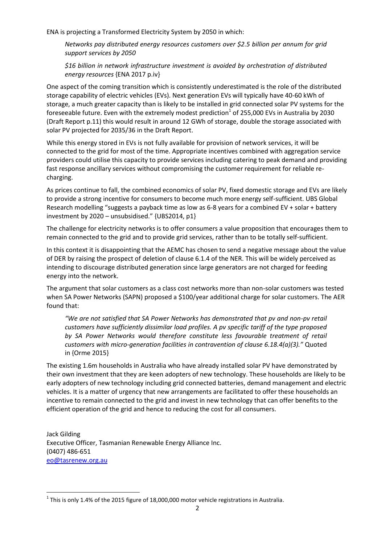ENA is projecting a Transformed Electricity System by 2050 in which:

*Networks pay distributed energy resources customers over \$2.5 billion per annum for grid support services by 2050*

*\$16 billion in network infrastructure investment is avoided by orchestration of distributed energy resources* {ENA 2017 p.iv}

One aspect of the coming transition which is consistently underestimated is the role of the distributed storage capability of electric vehicles (EVs). Next generation EVs will typically have 40-60 kWh of storage, a much greater capacity than is likely to be installed in grid connected solar PV systems for the foreseeable future. Even with the extremely modest prediction<sup>1</sup> of 255,000 EVs in Australia by 2030 (Draft Report p.11) this would result in around 12 GWh of storage, double the storage associated with solar PV projected for 2035/36 in the Draft Report.

While this energy stored in EVs is not fully available for provision of network services, it will be connected to the grid for most of the time. Appropriate incentives combined with aggregation service providers could utilise this capacity to provide services including catering to peak demand and providing fast response ancillary services without compromising the customer requirement for reliable recharging.

As prices continue to fall, the combined economics of solar PV, fixed domestic storage and EVs are likely to provide a strong incentive for consumers to become much more energy self-sufficient. UBS Global Research modelling "suggests a payback time as low as 6-8 years for a combined EV + solar + battery investment by 2020 – unsubsidised." {UBS2014, p1}

The challenge for electricity networks is to offer consumers a value proposition that encourages them to remain connected to the grid and to provide grid services, rather than to be totally self-sufficient.

In this context it is disappointing that the AEMC has chosen to send a negative message about the value of DER by raising the prospect of deletion of clause 6.1.4 of the NER. This will be widely perceived as intending to discourage distributed generation since large generators are not charged for feeding energy into the network.

The argument that solar customers as a class cost networks more than non-solar customers was tested when SA Power Networks (SAPN) proposed a \$100/year additional charge for solar customers. The AER found that:

*"We are not satisfied that SA Power Networks has demonstrated that pv and non-pv retail customers have sufficiently dissimilar load profiles. A pv specific tariff of the type proposed*  by SA Power Networks would therefore constitute less favourable treatment of retail *customers with micro-generation facilities in contravention of clause 6.18.4(a)(3)."* Quoted in {Orme 2015}

The existing 1.6m households in Australia who have already installed solar PV have demonstrated by their own investment that they are keen adopters of new technology. These households are likely to be early adopters of new technology including grid connected batteries, demand management and electric vehicles. It is a matter of urgency that new arrangements are facilitated to offer these households an incentive to remain connected to the grid and invest in new technology that can offer benefits to the efficient operation of the grid and hence to reducing the cost for all consumers.

Jack Gilding Executive Officer, Tasmanian Renewable Energy Alliance Inc. (0407) 486-651 [eo@tasrenew.org.au](mailto:eo@tasrenew.org.au)

**.** 

 $^1$  This is only 1.4% of the 2015 figure of 18,000,000 motor vehicle registrations in Australia.